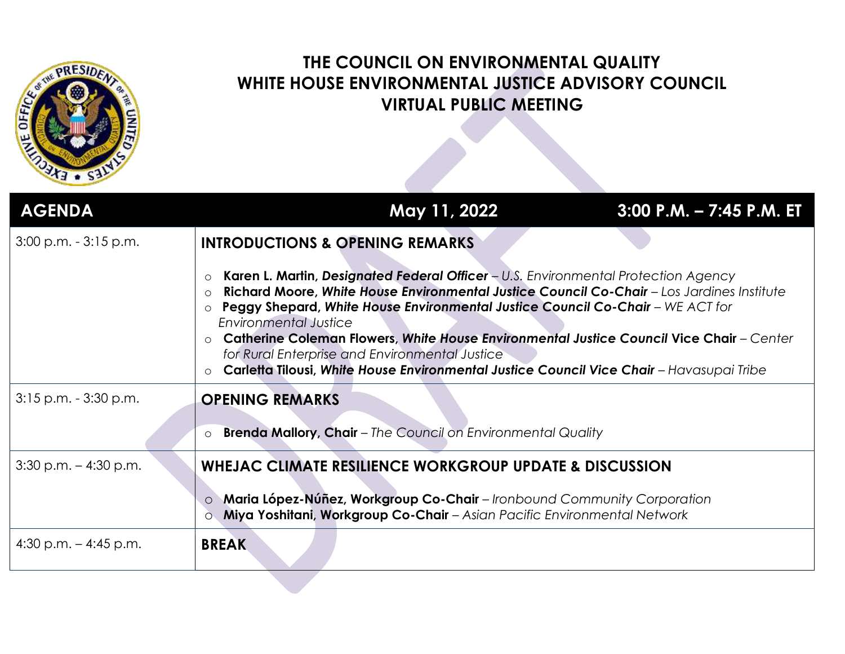

## **THE COUNCIL ON ENVIRONMENTAL QUALITY WHITE HOUSE ENVIRONMENTAL JUSTICE ADVISORY COUNCIL VIRTUAL PUBLIC MEETING**

| <b>AGENDA</b>            | May 11, 2022                                                                                                                                                                                                                                                                                                                                                                                                                                                                                                                                                                                                                                 | $3:00$ P.M. $- 7:45$ P.M. ET |
|--------------------------|----------------------------------------------------------------------------------------------------------------------------------------------------------------------------------------------------------------------------------------------------------------------------------------------------------------------------------------------------------------------------------------------------------------------------------------------------------------------------------------------------------------------------------------------------------------------------------------------------------------------------------------------|------------------------------|
| $3:00$ p.m. $-3:15$ p.m. | <b>INTRODUCTIONS &amp; OPENING REMARKS</b><br>Karen L. Martin, Designated Federal Officer - U.S. Environmental Protection Agency<br>$\circ$<br>Richard Moore, White House Environmental Justice Council Co-Chair - Los Jardines Institute<br>$\Omega$<br>Peggy Shepard, White House Environmental Justice Council Co-Chair - WE ACT for<br>$\circ$<br>Environmental Justice<br>Catherine Coleman Flowers, White House Environmental Justice Council Vice Chair - Center<br>$\Omega$<br>for Rural Enterprise and Environmental Justice<br>Carletta Tilousi, White House Environmental Justice Council Vice Chair - Havasupai Tribe<br>$\circ$ |                              |
| $3:15$ p.m. $-3:30$ p.m. | <b>OPENING REMARKS</b><br><b>Brenda Mallory, Chair</b> - The Council on Environmental Quality<br>$\circ$                                                                                                                                                                                                                                                                                                                                                                                                                                                                                                                                     |                              |
| $3:30$ p.m. $-4:30$ p.m. | WHEJAC CLIMATE RESILIENCE WORKGROUP UPDATE & DISCUSSION<br>Maria López-Núñez, Workgroup Co-Chair - Ironbound Community Corporation<br>$\circ$<br>Miya Yoshitani, Workgroup Co-Chair - Asian Pacific Environmental Network                                                                                                                                                                                                                                                                                                                                                                                                                    |                              |
| 4:30 p.m. $-$ 4:45 p.m.  | <b>BREAK</b>                                                                                                                                                                                                                                                                                                                                                                                                                                                                                                                                                                                                                                 |                              |